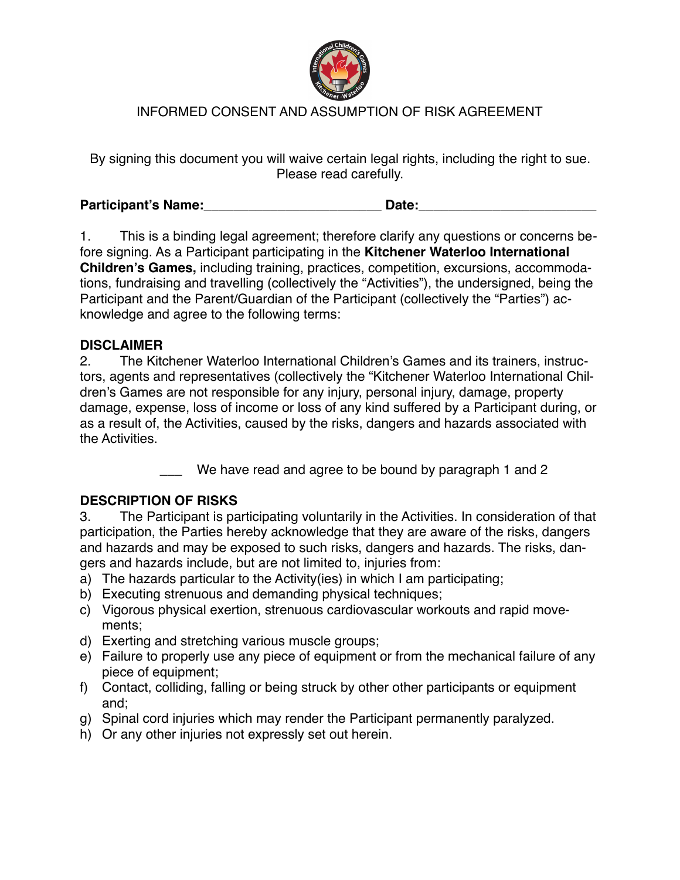

# INFORMED CONSENT AND ASSUMPTION OF RISK AGREEMENT

By signing this document you will waive certain legal rights, including the right to sue. Please read carefully.

**Participant's Name:**\_\_\_\_\_\_\_\_\_\_\_\_\_\_\_\_\_\_\_\_\_\_\_\_ **Date:**\_\_\_\_\_\_\_\_\_\_\_\_\_\_\_\_\_\_\_\_\_\_\_\_

1. This is a binding legal agreement; therefore clarify any questions or concerns before signing. As a Participant participating in the **Kitchener Waterloo International Children's Games,** including training, practices, competition, excursions, accommodations, fundraising and travelling (collectively the "Activities"), the undersigned, being the Participant and the Parent/Guardian of the Participant (collectively the "Parties") acknowledge and agree to the following terms:

#### **DISCLAIMER**

2. The Kitchener Waterloo International Children's Games and its trainers, instructors, agents and representatives (collectively the "Kitchener Waterloo International Children's Games are not responsible for any injury, personal injury, damage, property damage, expense, loss of income or loss of any kind suffered by a Participant during, or as a result of, the Activities, caused by the risks, dangers and hazards associated with the Activities.

We have read and agree to be bound by paragraph 1 and 2

### **DESCRIPTION OF RISKS**

3. The Participant is participating voluntarily in the Activities. In consideration of that participation, the Parties hereby acknowledge that they are aware of the risks, dangers and hazards and may be exposed to such risks, dangers and hazards. The risks, dangers and hazards include, but are not limited to, injuries from:

- a) The hazards particular to the Activity(ies) in which I am participating;
- b) Executing strenuous and demanding physical techniques;
- c) Vigorous physical exertion, strenuous cardiovascular workouts and rapid movements;
- d) Exerting and stretching various muscle groups;
- e) Failure to properly use any piece of equipment or from the mechanical failure of any piece of equipment;
- f) Contact, colliding, falling or being struck by other other participants or equipment and;
- g) Spinal cord injuries which may render the Participant permanently paralyzed.
- h) Or any other injuries not expressly set out herein.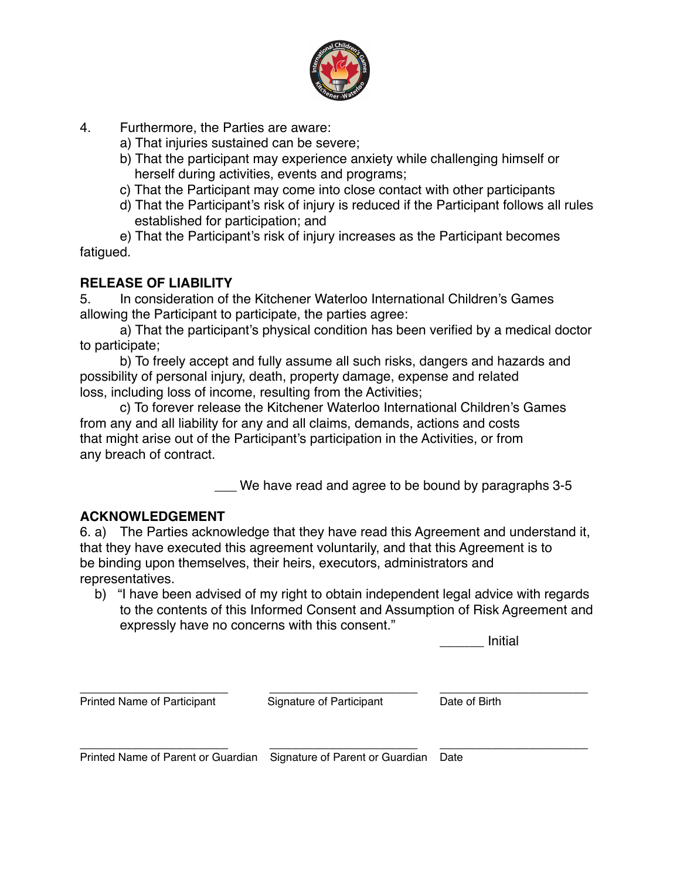

- 4. Furthermore, the Parties are aware:
	- a) That injuries sustained can be severe;
	- b) That the participant may experience anxiety while challenging himself or herself during activities, events and programs;
	- c) That the Participant may come into close contact with other participants
	- d) That the Participant's risk of injury is reduced if the Participant follows all rules established for participation; and

e) That the Participant's risk of injury increases as the Participant becomes fatigued.

# **RELEASE OF LIABILITY**

5. In consideration of the Kitchener Waterloo International Children's Games allowing the Participant to participate, the parties agree:

a) That the participant's physical condition has been verified by a medical doctor to participate;

b) To freely accept and fully assume all such risks, dangers and hazards and possibility of personal injury, death, property damage, expense and related loss, including loss of income, resulting from the Activities;

c) To forever release the Kitchener Waterloo International Children's Games from any and all liability for any and all claims, demands, actions and costs that might arise out of the Participant's participation in the Activities, or from any breach of contract.

\_\_\_ We have read and agree to be bound by paragraphs 3-5

### **ACKNOWLEDGEMENT**

6. a) The Parties acknowledge that they have read this Agreement and understand it, that they have executed this agreement voluntarily, and that this Agreement is to be binding upon themselves, their heirs, executors, administrators and representatives.

 b) "I have been advised of my right to obtain independent legal advice with regards to the contents of this Informed Consent and Assumption of Risk Agreement and expressly have no concerns with this consent."

\_\_\_\_\_\_ Initial

Printed Name of Participant Signature of Participant Date of Birth

\_\_\_\_\_\_\_\_\_\_\_\_\_\_\_\_\_\_\_\_ \_\_\_\_\_\_\_\_\_\_\_\_\_\_\_\_\_\_\_\_ \_\_\_\_\_\_\_\_\_\_\_\_\_\_\_\_\_\_\_\_